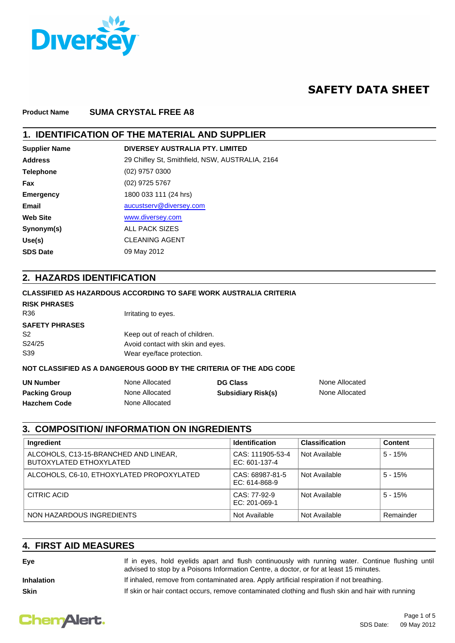

# **SAFETY DATA SHEET**

#### **Product Name SUMA CRYSTAL FREE A8**

### **1. IDENTIFICATION OF THE MATERIAL AND SUPPLIER**

| <b>Supplier Name</b> | DIVERSEY AUSTRALIA PTY, LIMITED                 |
|----------------------|-------------------------------------------------|
| <b>Address</b>       | 29 Chifley St, Smithfield, NSW, AUSTRALIA, 2164 |
| <b>Telephone</b>     | $(02)$ 9757 0300                                |
| Fax                  | $(02)$ 9725 5767                                |
| <b>Emergency</b>     | 1800 033 111 (24 hrs)                           |
| Email                | aucustserv@diversey.com                         |
| <b>Web Site</b>      | www.diversey.com                                |
| Synonym(s)           | <b>ALL PACK SIZES</b>                           |
| Use(s)               | <b>CLEANING AGENT</b>                           |
| <b>SDS Date</b>      | 09 May 2012                                     |
|                      |                                                 |

### **2. HAZARDS IDENTIFICATION**

### **CLASSIFIED AS HAZARDOUS ACCORDING TO SAFE WORK AUSTRALIA CRITERIA**

### R36 **Irritating to eyes. RISK PHRASES**

| <b>SAFETY PHRASES</b> |                                   |
|-----------------------|-----------------------------------|
| S2                    | Keep out of reach of children.    |
| S24/25                | Avoid contact with skin and eyes. |
| S39                   | Wear eye/face protection.         |

#### **NOT CLASSIFIED AS A DANGEROUS GOOD BY THE CRITERIA OF THE ADG CODE**

| <b>UN Number</b>     | None Allocated | <b>DG Class</b>           | None Allocated |
|----------------------|----------------|---------------------------|----------------|
| <b>Packing Group</b> | None Allocated | <b>Subsidiary Risk(s)</b> | None Allocated |
| <b>Hazchem Code</b>  | None Allocated |                           |                |

### **3. COMPOSITION/ INFORMATION ON INGREDIENTS**

| Ingredient                                                       | <b>Identification</b>             | <b>Classification</b> | <b>Content</b> |
|------------------------------------------------------------------|-----------------------------------|-----------------------|----------------|
| ALCOHOLS, C13-15-BRANCHED AND LINEAR,<br>BUTOXYLATED ETHOXYLATED | CAS: 111905-53-4<br>EC: 601-137-4 | Not Available         | $5 - 15%$      |
| ALCOHOLS, C6-10, ETHOXYLATED PROPOXYLATED                        | CAS: 68987-81-5<br>EC: 614-868-9  | Not Available         | $5 - 15%$      |
| CITRIC ACID                                                      | CAS: 77-92-9<br>EC: 201-069-1     | Not Available         | $5 - 15%$      |
| NON HAZARDOUS INGREDIENTS                                        | Not Available                     | Not Available         | Remainder      |

### **4. FIRST AID MEASURES**

| Eve               | If in eyes, hold eyelids apart and flush continuously with running water. Continue flushing until<br>advised to stop by a Poisons Information Centre, a doctor, or for at least 15 minutes. |
|-------------------|---------------------------------------------------------------------------------------------------------------------------------------------------------------------------------------------|
| <b>Inhalation</b> | If inhaled, remove from contaminated area. Apply artificial respiration if not breathing.                                                                                                   |
| <b>Skin</b>       | If skin or hair contact occurs, remove contaminated clothing and flush skin and hair with running                                                                                           |

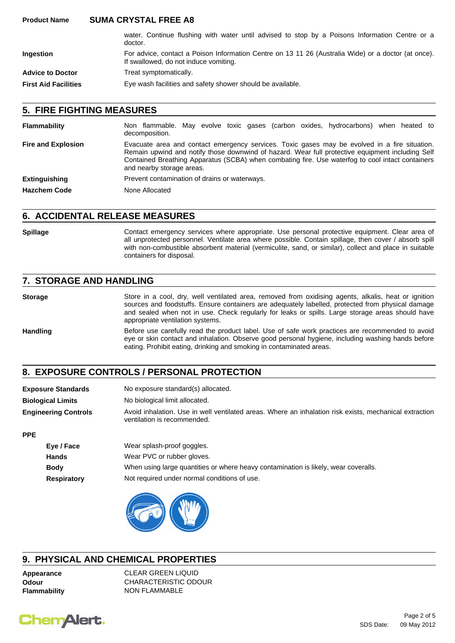#### **Product Name SUMA CRYSTAL FREE A8**

|                             | water. Continue flushing with water until advised to stop by a Poisons Information Centre or a<br>doctor.                                    |
|-----------------------------|----------------------------------------------------------------------------------------------------------------------------------------------|
| Ingestion                   | For advice, contact a Poison Information Centre on 13 11 26 (Australia Wide) or a doctor (at once).<br>If swallowed, do not induce vomiting. |
| <b>Advice to Doctor</b>     | Treat symptomatically.                                                                                                                       |
| <b>First Aid Facilities</b> | Eye wash facilities and safety shower should be available.                                                                                   |

### **5. FIRE FIGHTING MEASURES**

| <b>Flammability</b>       | Non flammable. May evolve toxic gases (carbon oxides, hydrocarbons) when heated to<br>decomposition.                                                                                                                                                                                                                               |
|---------------------------|------------------------------------------------------------------------------------------------------------------------------------------------------------------------------------------------------------------------------------------------------------------------------------------------------------------------------------|
| <b>Fire and Explosion</b> | Evacuate area and contact emergency services. Toxic gases may be evolved in a fire situation.<br>Remain upwind and notify those downwind of hazard. Wear full protective equipment including Self<br>Contained Breathing Apparatus (SCBA) when combating fire. Use waterfog to cool intact containers<br>and nearby storage areas. |
| <b>Extinguishing</b>      | Prevent contamination of drains or waterways.                                                                                                                                                                                                                                                                                      |
| <b>Hazchem Code</b>       | None Allocated                                                                                                                                                                                                                                                                                                                     |

### **6. ACCIDENTAL RELEASE MEASURES**

Spillage **Spillage** Contact emergency services where appropriate. Use personal protective equipment. Clear area of all unprotected personnel. Ventilate area where possible. Contain spillage, then cover / absorb spill with non-combustible absorbent material (vermiculite, sand, or similar), collect and place in suitable containers for disposal.

### **7. STORAGE AND HANDLING**

**Storage** Store in a cool, dry, well ventilated area, removed from oxidising agents, alkalis, heat or ignition sources and foodstuffs. Ensure containers are adequately labelled, protected from physical damage and sealed when not in use. Check regularly for leaks or spills. Large storage areas should have appropriate ventilation systems.

Handling Before use carefully read the product label. Use of safe work practices are recommended to avoid eye or skin contact and inhalation. Observe good personal hygiene, including washing hands before eating. Prohibit eating, drinking and smoking in contaminated areas.

# **8. EXPOSURE CONTROLS / PERSONAL PROTECTION**

| <b>Exposure Standards</b>   | No exposure standard(s) allocated.                                                                                                    |
|-----------------------------|---------------------------------------------------------------------------------------------------------------------------------------|
| <b>Biological Limits</b>    | No biological limit allocated.                                                                                                        |
| <b>Engineering Controls</b> | Avoid inhalation. Use in well ventilated areas. Where an inhalation risk exists, mechanical extraction<br>ventilation is recommended. |
| <b>PPE</b>                  |                                                                                                                                       |

| Eye / Face         | Wear splash-proof goggles.                                                          |
|--------------------|-------------------------------------------------------------------------------------|
| Hands              | Wear PVC or rubber gloves.                                                          |
| <b>Body</b>        | When using large quantities or where heavy contamination is likely, wear coveralls. |
| <b>Respiratory</b> | Not required under normal conditions of use.                                        |



## **9. PHYSICAL AND CHEMICAL PROPERTIES**

**Appearance** CLEAR GREEN LIQUID **Odour** CHARACTERISTIC ODOUR **Flammability** NON FLAMMABLE

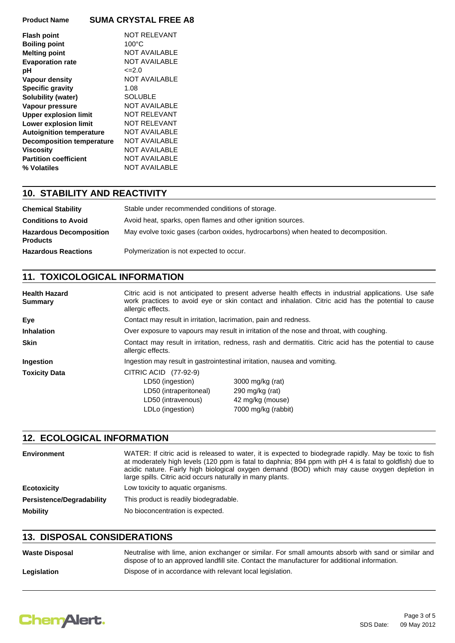### **Product Name SUMA CRYSTAL FREE A8**

| <b>Flash point</b>               | <b>NOT RELEVANT</b>  |
|----------------------------------|----------------------|
| <b>Boiling point</b>             | $100^{\circ}$ C      |
| <b>Melting point</b>             | <b>NOT AVAILABLE</b> |
| <b>Evaporation rate</b>          | <b>NOT AVAILABLE</b> |
| рH                               | $\leq$ -2.0          |
| <b>Vapour density</b>            | <b>NOT AVAILABLE</b> |
| <b>Specific gravity</b>          | 1.08                 |
| Solubility (water)               | <b>SOLUBLE</b>       |
| Vapour pressure                  | NOT AVAILABLE        |
| <b>Upper explosion limit</b>     | NOT RELEVANT         |
| Lower explosion limit            | <b>NOT RELEVANT</b>  |
| <b>Autoignition temperature</b>  | NOT AVAILABLE        |
| <b>Decomposition temperature</b> | NOT AVAILABLE        |
|                                  |                      |
| <b>Viscosity</b>                 | NOT AVAILABLE        |
| <b>Partition coefficient</b>     | <b>NOT AVAILABLE</b> |
| % Volatiles                      | NOT AVAILABLE        |

# **10. STABILITY AND REACTIVITY**

| <b>Chemical Stability</b>                         | Stable under recommended conditions of storage.                                    |
|---------------------------------------------------|------------------------------------------------------------------------------------|
| <b>Conditions to Avoid</b>                        | Avoid heat, sparks, open flames and other ignition sources.                        |
| <b>Hazardous Decomposition</b><br><b>Products</b> | May evolve toxic gases (carbon oxides, hydrocarbons) when heated to decomposition. |
| <b>Hazardous Reactions</b>                        | Polymerization is not expected to occur.                                           |

# **11. TOXICOLOGICAL INFORMATION**

| <b>Health Hazard</b><br><b>Summary</b> | allergic effects.                                                                                                           | Citric acid is not anticipated to present adverse health effects in industrial applications. Use safe<br>work practices to avoid eye or skin contact and inhalation. Citric acid has the potential to cause |  |
|----------------------------------------|-----------------------------------------------------------------------------------------------------------------------------|-------------------------------------------------------------------------------------------------------------------------------------------------------------------------------------------------------------|--|
| Eye                                    | Contact may result in irritation, lacrimation, pain and redness.                                                            |                                                                                                                                                                                                             |  |
| <b>Inhalation</b>                      | Over exposure to vapours may result in irritation of the nose and throat, with coughing.                                    |                                                                                                                                                                                                             |  |
| <b>Skin</b>                            | Contact may result in irritation, redness, rash and dermatitis. Citric acid has the potential to cause<br>allergic effects. |                                                                                                                                                                                                             |  |
| <b>Ingestion</b>                       | Ingestion may result in gastrointestinal irritation, nausea and vomiting.                                                   |                                                                                                                                                                                                             |  |
| <b>Toxicity Data</b>                   | CITRIC ACID (77-92-9)<br>LD50 (ingestion)<br>LD50 (intraperitoneal)<br>LD50 (intravenous)<br>LDLo (ingestion)               | 3000 mg/kg (rat)<br>290 mg/kg (rat)<br>42 mg/kg (mouse)<br>7000 mg/kg (rabbit)                                                                                                                              |  |

#### **12. ECOLOGICAL INFORMATION**

| Environment                      | WATER: If citric acid is released to water, it is expected to biodegrade rapidly. May be toxic to fish<br>at moderately high levels (120 ppm is fatal to daphnia; 894 ppm with pH 4 is fatal to goldfish) due to<br>acidic nature. Fairly high biological oxygen demand (BOD) which may cause oxygen depletion in<br>large spills. Citric acid occurs naturally in many plants. |
|----------------------------------|---------------------------------------------------------------------------------------------------------------------------------------------------------------------------------------------------------------------------------------------------------------------------------------------------------------------------------------------------------------------------------|
| <b>Ecotoxicity</b>               | Low toxicity to aquatic organisms.                                                                                                                                                                                                                                                                                                                                              |
| <b>Persistence/Degradability</b> | This product is readily biodegradable.                                                                                                                                                                                                                                                                                                                                          |
| <b>Mobility</b>                  | No bioconcentration is expected.                                                                                                                                                                                                                                                                                                                                                |

## **13. DISPOSAL CONSIDERATIONS**

| <b>Waste Disposal</b> | Neutralise with lime, anion exchanger or similar. For small amounts absorb with sand or similar and<br>dispose of to an approved landfill site. Contact the manufacturer for additional information. |
|-----------------------|------------------------------------------------------------------------------------------------------------------------------------------------------------------------------------------------------|
| Legislation           | Dispose of in accordance with relevant local legislation.                                                                                                                                            |

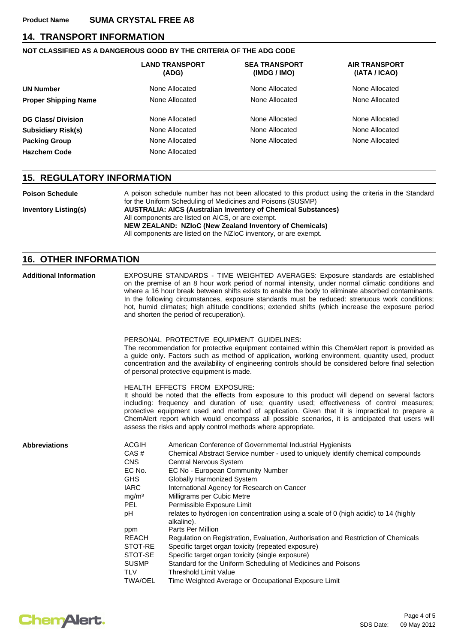### **14. TRANSPORT INFORMATION**

### **NOT CLASSIFIED AS A DANGEROUS GOOD BY THE CRITERIA OF THE ADG CODE**

|                             | <b>LAND TRANSPORT</b><br>(ADG) | <b>SEA TRANSPORT</b><br>(IMDG / IMO) | <b>AIR TRANSPORT</b><br>(IATA / ICAO) |
|-----------------------------|--------------------------------|--------------------------------------|---------------------------------------|
| <b>UN Number</b>            | None Allocated                 | None Allocated                       | None Allocated                        |
| <b>Proper Shipping Name</b> | None Allocated                 | None Allocated                       | None Allocated                        |
| <b>DG Class/Division</b>    | None Allocated                 | None Allocated                       | None Allocated                        |
| <b>Subsidiary Risk(s)</b>   | None Allocated                 | None Allocated                       | None Allocated                        |
| <b>Packing Group</b>        | None Allocated                 | None Allocated                       | None Allocated                        |
| <b>Hazchem Code</b>         | None Allocated                 |                                      |                                       |

### **15. REGULATORY INFORMATION**

| <b>Poison Schedule</b>      | A poison schedule number has not been allocated to this product using the criteria in the Standard<br>for the Uniform Scheduling of Medicines and Poisons (SUSMP) |
|-----------------------------|-------------------------------------------------------------------------------------------------------------------------------------------------------------------|
| <b>Inventory Listing(s)</b> | <b>AUSTRALIA: AICS (Australian Inventory of Chemical Substances)</b><br>All components are listed on AICS, or are exempt.                                         |
|                             | <b>NEW ZEALAND: NZIOC (New Zealand Inventory of Chemicals)</b><br>All components are listed on the NZIoC inventory, or are exempt.                                |

## **16. OTHER INFORMATION**

| <b>Additional Information</b> | EXPOSURE STANDARDS - TIME WEIGHTED AVERAGES: Exposure standards are established<br>on the premise of an 8 hour work period of normal intensity, under normal climatic conditions and<br>where a 16 hour break between shifts exists to enable the body to eliminate absorbed contaminants.<br>In the following circumstances, exposure standards must be reduced: strenuous work conditions;<br>hot, humid climates; high altitude conditions; extended shifts (which increase the exposure period<br>and shorten the period of recuperation). |                                                                                                                                                                                                                                                                                                                                                                                                                                                                                                                                                                                                                                                                                                                                                                                                                                                |  |  |
|-------------------------------|------------------------------------------------------------------------------------------------------------------------------------------------------------------------------------------------------------------------------------------------------------------------------------------------------------------------------------------------------------------------------------------------------------------------------------------------------------------------------------------------------------------------------------------------|------------------------------------------------------------------------------------------------------------------------------------------------------------------------------------------------------------------------------------------------------------------------------------------------------------------------------------------------------------------------------------------------------------------------------------------------------------------------------------------------------------------------------------------------------------------------------------------------------------------------------------------------------------------------------------------------------------------------------------------------------------------------------------------------------------------------------------------------|--|--|
|                               |                                                                                                                                                                                                                                                                                                                                                                                                                                                                                                                                                | PERSONAL PROTECTIVE EQUIPMENT GUIDELINES:<br>The recommendation for protective equipment contained within this ChemAlert report is provided as<br>a guide only. Factors such as method of application, working environment, quantity used, product<br>concentration and the availability of engineering controls should be considered before final selection<br>of personal protective equipment is made.                                                                                                                                                                                                                                                                                                                                                                                                                                      |  |  |
|                               |                                                                                                                                                                                                                                                                                                                                                                                                                                                                                                                                                | <b>HEALTH EFFECTS FROM EXPOSURE:</b><br>It should be noted that the effects from exposure to this product will depend on several factors<br>including: frequency and duration of use; quantity used; effectiveness of control measures;<br>protective equipment used and method of application. Given that it is impractical to prepare a<br>ChemAlert report which would encompass all possible scenarios, it is anticipated that users will<br>assess the risks and apply control methods where appropriate.                                                                                                                                                                                                                                                                                                                                 |  |  |
| <b>Abbreviations</b>          | <b>ACGIH</b><br>CAS#<br><b>CNS</b><br>EC No.<br><b>GHS</b><br><b>IARC</b><br>mg/m <sup>3</sup><br><b>PEL</b><br>pH<br>ppm<br><b>REACH</b><br>STOT-RE<br>STOT-SE<br><b>SUSMP</b><br><b>TLV</b><br><b>TWA/OEL</b>                                                                                                                                                                                                                                                                                                                                | American Conference of Governmental Industrial Hygienists<br>Chemical Abstract Service number - used to uniquely identify chemical compounds<br>Central Nervous System<br>EC No - European Community Number<br><b>Globally Harmonized System</b><br>International Agency for Research on Cancer<br>Milligrams per Cubic Metre<br>Permissible Exposure Limit<br>relates to hydrogen ion concentration using a scale of 0 (high acidic) to 14 (highly<br>alkaline).<br>Parts Per Million<br>Regulation on Registration, Evaluation, Authorisation and Restriction of Chemicals<br>Specific target organ toxicity (repeated exposure)<br>Specific target organ toxicity (single exposure)<br>Standard for the Uniform Scheduling of Medicines and Poisons<br><b>Threshold Limit Value</b><br>Time Weighted Average or Occupational Exposure Limit |  |  |